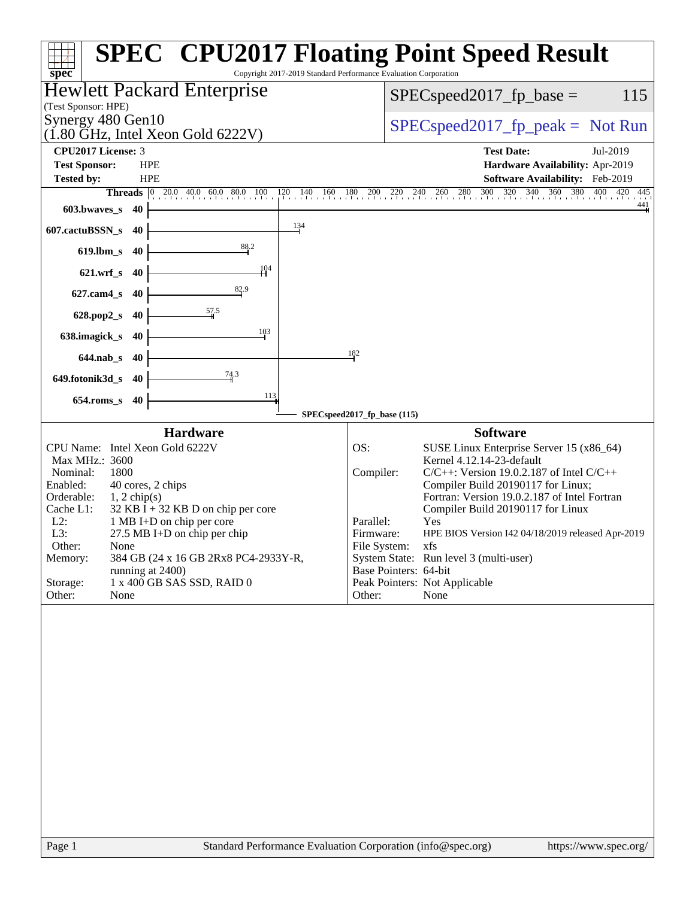| spec <sup>®</sup>                                                                | <b>SPEC<sup>®</sup> CPU2017 Floating Point Speed Result</b><br>Copyright 2017-2019 Standard Performance Evaluation Corporation |
|----------------------------------------------------------------------------------|--------------------------------------------------------------------------------------------------------------------------------|
| Hewlett Packard Enterprise<br>(Test Sponsor: HPE)                                | $SPEC speed2017_fp\_base =$<br>115                                                                                             |
| Synergy 480 Gen10<br>$(1.80 \text{ GHz}, \text{Intel Xeon Gold } 6222 \text{V})$ | $SPEC speed2017rfp peak = Not Run$                                                                                             |
| CPU2017 License: 3                                                               | <b>Test Date:</b><br>Jul-2019                                                                                                  |
| <b>HPE</b><br><b>Test Sponsor:</b>                                               | Hardware Availability: Apr-2019                                                                                                |
| <b>Tested by:</b><br><b>HPE</b>                                                  | Software Availability: Feb-2019                                                                                                |
|                                                                                  | <b>Threads</b> 0 20.0 40.0 60.0 80.0 100 120 140 160 180 200 220 240 260 280 300 320 340 360 380 400 420<br>445                |
| 603.bwaves_s<br>- 40                                                             | $\frac{441}{4}$                                                                                                                |
| $\frac{134}{5}$<br>607.cactuBSSN_s<br>-40                                        |                                                                                                                                |
| 88.2<br>619.lbm_s 40<br>104                                                      |                                                                                                                                |
| 621.wrf_s 40<br>82.9                                                             |                                                                                                                                |
| 627.cam4_s 40                                                                    |                                                                                                                                |
| 628.pop2_s 40<br>103<br>638.imagick_s<br>40                                      |                                                                                                                                |
| 644.nab_s 40                                                                     | 182                                                                                                                            |
| $\frac{74.3}{9}$<br>649.fotonik3d_s 40                                           |                                                                                                                                |
| 113<br>$654$ .roms_s<br>40                                                       |                                                                                                                                |
|                                                                                  | SPECspeed2017_fp_base (115)                                                                                                    |
| <b>Hardware</b>                                                                  | <b>Software</b>                                                                                                                |
| CPU Name: Intel Xeon Gold 6222V                                                  | OS:<br>SUSE Linux Enterprise Server 15 (x86_64)                                                                                |
| Max MHz.: 3600                                                                   | Kernel 4.12.14-23-default                                                                                                      |
| 1800<br>Nominal:<br>Enabled:<br>40 cores, 2 chips                                | Compiler:<br>$C/C++$ : Version 19.0.2.187 of Intel $C/C++$<br>Compiler Build 20190117 for Linux;                               |
| Orderable:<br>$1, 2$ chip(s)                                                     | Fortran: Version 19.0.2.187 of Intel Fortran                                                                                   |
| Cache L1:<br>$32$ KB I + 32 KB D on chip per core                                | Compiler Build 20190117 for Linux                                                                                              |
| $L2$ :<br>1 MB I+D on chip per core                                              | Parallel:<br>Yes                                                                                                               |
| L3:<br>$27.5$ MB I+D on chip per chip                                            | Firmware:<br>HPE BIOS Version I42 04/18/2019 released Apr-2019                                                                 |
| Other:<br>None<br>Memory:<br>384 GB (24 x 16 GB 2Rx8 PC4-2933Y-R,                | File System:<br>xfs<br>System State: Run level 3 (multi-user)                                                                  |
| running at 2400)                                                                 | Base Pointers: 64-bit                                                                                                          |
| 1 x 400 GB SAS SSD, RAID 0<br>Storage:                                           | Peak Pointers: Not Applicable                                                                                                  |
| Other:<br>None                                                                   | Other:<br>None                                                                                                                 |
|                                                                                  |                                                                                                                                |
| Page 1                                                                           | Standard Performance Evaluation Corporation (info@spec.org)<br>https://www.spec.org/                                           |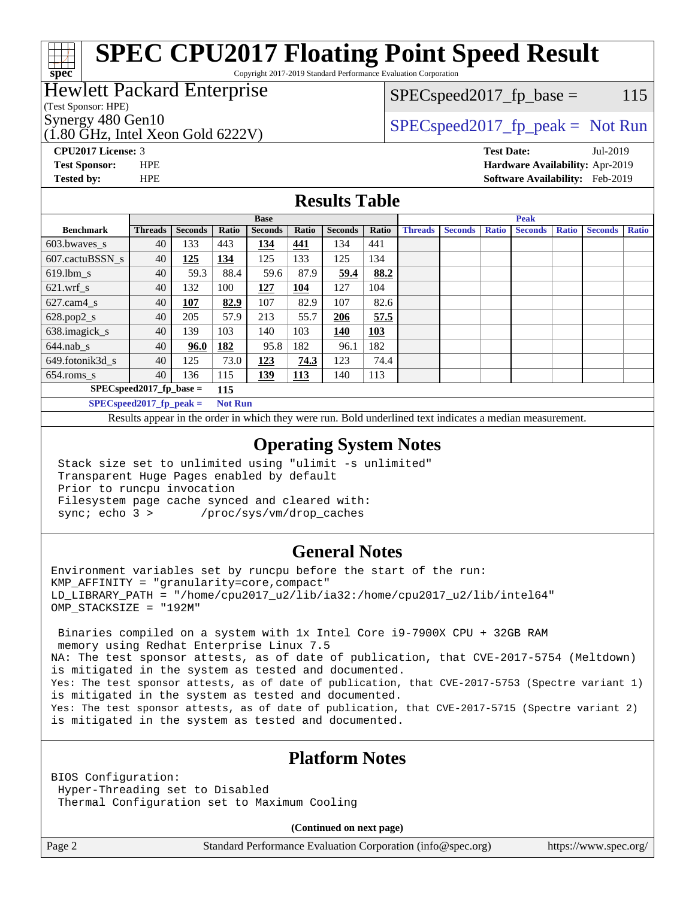# **[SPEC CPU2017 Floating Point Speed Result](http://www.spec.org/auto/cpu2017/Docs/result-fields.html#SPECCPU2017FloatingPointSpeedResult)**

Copyright 2017-2019 Standard Performance Evaluation Corporation

### Hewlett Packard Enterprise

(Test Sponsor: HPE)

**[spec](http://www.spec.org/)**

(1.80 GHz, Intel Xeon Gold 6222V)

 $SPEC speed2017<sub>fr</sub> base = 115$ 

## Synergy 480 Gen10  $SPEC speed2017$  fp\_peak = Not Run

**[CPU2017 License:](http://www.spec.org/auto/cpu2017/Docs/result-fields.html#CPU2017License)** 3 **[Test Date:](http://www.spec.org/auto/cpu2017/Docs/result-fields.html#TestDate)** Jul-2019 **[Test Sponsor:](http://www.spec.org/auto/cpu2017/Docs/result-fields.html#TestSponsor)** HPE **[Hardware Availability:](http://www.spec.org/auto/cpu2017/Docs/result-fields.html#HardwareAvailability)** Apr-2019 **[Tested by:](http://www.spec.org/auto/cpu2017/Docs/result-fields.html#Testedby)** HPE **[Software Availability:](http://www.spec.org/auto/cpu2017/Docs/result-fields.html#SoftwareAvailability)** Feb-2019

### **[Results Table](http://www.spec.org/auto/cpu2017/Docs/result-fields.html#ResultsTable)**

|                                   | <b>Base</b>                                                                                             |                |            |                |            | <b>Peak</b>    |       |                |                |              |                |              |                |              |
|-----------------------------------|---------------------------------------------------------------------------------------------------------|----------------|------------|----------------|------------|----------------|-------|----------------|----------------|--------------|----------------|--------------|----------------|--------------|
| <b>Benchmark</b>                  | <b>Threads</b>                                                                                          | <b>Seconds</b> | Ratio      | <b>Seconds</b> | Ratio      | <b>Seconds</b> | Ratio | <b>Threads</b> | <b>Seconds</b> | <b>Ratio</b> | <b>Seconds</b> | <b>Ratio</b> | <b>Seconds</b> | <b>Ratio</b> |
| $603.bwaves$ s                    | 40                                                                                                      | 133            | 443        | 134            | 441        | 134            | 441   |                |                |              |                |              |                |              |
| 607.cactuBSSN s                   | 40                                                                                                      | 125            | 134        | 125            | 133        | 125            | 134   |                |                |              |                |              |                |              |
| $619.1$ bm s                      | 40                                                                                                      | 59.3           | 88.4       | 59.6           | 87.9       | 59.4           | 88.2  |                |                |              |                |              |                |              |
| $621$ .wrf s                      | 40                                                                                                      | 132            | 100        | 127            | 104        | 127            | 104   |                |                |              |                |              |                |              |
| $627$ .cam4 s                     | 40                                                                                                      | 107            | 82.9       | 107            | 82.9       | 107            | 82.6  |                |                |              |                |              |                |              |
| $628.pop2_s$                      | 40                                                                                                      | 205            | 57.9       | 213            | 55.7       | 206            | 57.5  |                |                |              |                |              |                |              |
| 638.imagick_s                     | 40                                                                                                      | 139            | 103        | 140            | 103        | 140            | 103   |                |                |              |                |              |                |              |
| $644$ .nab s                      | 40                                                                                                      | 96.0           | 182        | 95.8           | 182        | 96.1           | 182   |                |                |              |                |              |                |              |
| 649.fotonik3d s                   | 40                                                                                                      | 125            | 73.0       | 123            | 74.3       | 123            | 74.4  |                |                |              |                |              |                |              |
| $654$ .roms_s                     | 40                                                                                                      | 136            | 115        | <u>139</u>     | <b>113</b> | 140            | 113   |                |                |              |                |              |                |              |
| $SPEC speed2017$ fp base =<br>115 |                                                                                                         |                |            |                |            |                |       |                |                |              |                |              |                |              |
|                                   | $CDFC_{\alpha n}$ $\alpha$ $\beta$ $\gamma$ $\beta$ $\gamma$ $\beta$ $\gamma$ $\alpha$ $\beta$ $\gamma$ |                | $N \sim 1$ |                |            |                |       |                |                |              |                |              |                |              |

**[SPECspeed2017\\_fp\\_peak =](http://www.spec.org/auto/cpu2017/Docs/result-fields.html#SPECspeed2017fppeak) Not Run**

Results appear in the [order in which they were run.](http://www.spec.org/auto/cpu2017/Docs/result-fields.html#RunOrder) Bold underlined text [indicates a median measurement](http://www.spec.org/auto/cpu2017/Docs/result-fields.html#Median).

### **[Operating System Notes](http://www.spec.org/auto/cpu2017/Docs/result-fields.html#OperatingSystemNotes)**

 Stack size set to unlimited using "ulimit -s unlimited" Transparent Huge Pages enabled by default Prior to runcpu invocation Filesystem page cache synced and cleared with: sync; echo 3 > /proc/sys/vm/drop\_caches

### **[General Notes](http://www.spec.org/auto/cpu2017/Docs/result-fields.html#GeneralNotes)**

Environment variables set by runcpu before the start of the run: KMP\_AFFINITY = "granularity=core,compact" LD\_LIBRARY\_PATH = "/home/cpu2017\_u2/lib/ia32:/home/cpu2017\_u2/lib/intel64" OMP\_STACKSIZE = "192M"

 Binaries compiled on a system with 1x Intel Core i9-7900X CPU + 32GB RAM memory using Redhat Enterprise Linux 7.5 NA: The test sponsor attests, as of date of publication, that CVE-2017-5754 (Meltdown) is mitigated in the system as tested and documented. Yes: The test sponsor attests, as of date of publication, that CVE-2017-5753 (Spectre variant 1) is mitigated in the system as tested and documented. Yes: The test sponsor attests, as of date of publication, that CVE-2017-5715 (Spectre variant 2) is mitigated in the system as tested and documented.

### **[Platform Notes](http://www.spec.org/auto/cpu2017/Docs/result-fields.html#PlatformNotes)**

BIOS Configuration: Hyper-Threading set to Disabled Thermal Configuration set to Maximum Cooling

**(Continued on next page)**

Page 2 Standard Performance Evaluation Corporation [\(info@spec.org\)](mailto:info@spec.org) <https://www.spec.org/>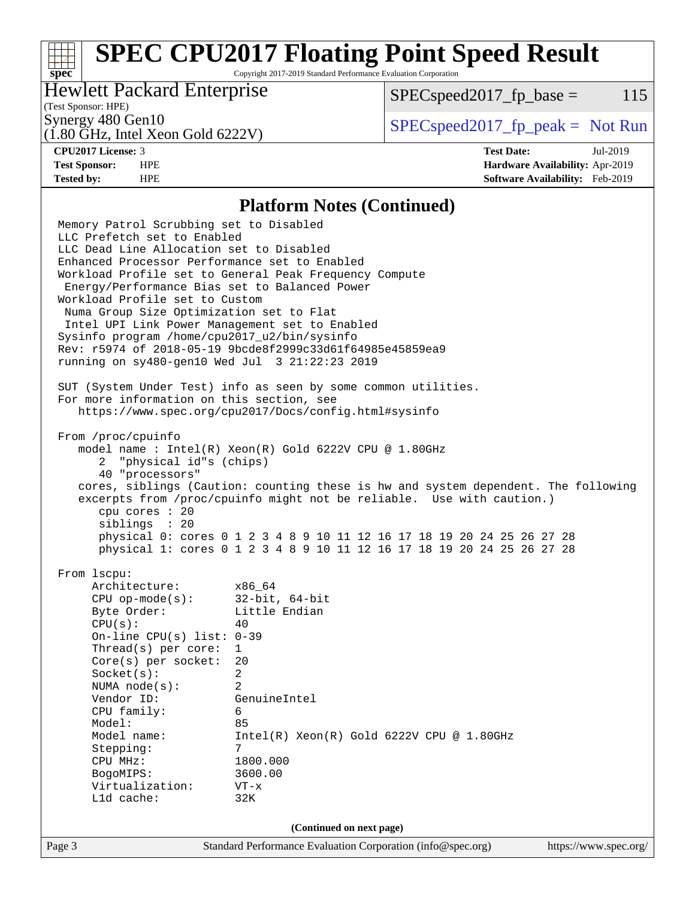# **[SPEC CPU2017 Floating Point Speed Result](http://www.spec.org/auto/cpu2017/Docs/result-fields.html#SPECCPU2017FloatingPointSpeedResult)**

Copyright 2017-2019 Standard Performance Evaluation Corporation

### Hewlett Packard Enterprise

 $SPEC speed2017<sub>fp</sub> base = 115$ 

## (Test Sponsor: HPE)

(1.80 GHz, Intel Xeon Gold 6222V)

Synergy 480 Gen10  $S^{perg}$  [SPECspeed2017\\_fp\\_peak =](http://www.spec.org/auto/cpu2017/Docs/result-fields.html#SPECspeed2017fppeak) Not Run

**[spec](http://www.spec.org/)**

**[CPU2017 License:](http://www.spec.org/auto/cpu2017/Docs/result-fields.html#CPU2017License)** 3 **[Test Date:](http://www.spec.org/auto/cpu2017/Docs/result-fields.html#TestDate)** Jul-2019 **[Test Sponsor:](http://www.spec.org/auto/cpu2017/Docs/result-fields.html#TestSponsor)** HPE **[Hardware Availability:](http://www.spec.org/auto/cpu2017/Docs/result-fields.html#HardwareAvailability)** Apr-2019 **[Tested by:](http://www.spec.org/auto/cpu2017/Docs/result-fields.html#Testedby)** HPE **[Software Availability:](http://www.spec.org/auto/cpu2017/Docs/result-fields.html#SoftwareAvailability)** Feb-2019

### **[Platform Notes \(Continued\)](http://www.spec.org/auto/cpu2017/Docs/result-fields.html#PlatformNotes)**

Page 3 Standard Performance Evaluation Corporation [\(info@spec.org\)](mailto:info@spec.org) <https://www.spec.org/> Memory Patrol Scrubbing set to Disabled LLC Prefetch set to Enabled LLC Dead Line Allocation set to Disabled Enhanced Processor Performance set to Enabled Workload Profile set to General Peak Frequency Compute Energy/Performance Bias set to Balanced Power Workload Profile set to Custom Numa Group Size Optimization set to Flat Intel UPI Link Power Management set to Enabled Sysinfo program /home/cpu2017\_u2/bin/sysinfo Rev: r5974 of 2018-05-19 9bcde8f2999c33d61f64985e45859ea9 running on sy480-gen10 Wed Jul 3 21:22:23 2019 SUT (System Under Test) info as seen by some common utilities. For more information on this section, see <https://www.spec.org/cpu2017/Docs/config.html#sysinfo> From /proc/cpuinfo model name : Intel(R) Xeon(R) Gold 6222V CPU @ 1.80GHz 2 "physical id"s (chips) 40 "processors" cores, siblings (Caution: counting these is hw and system dependent. The following excerpts from /proc/cpuinfo might not be reliable. Use with caution.) cpu cores : 20 siblings : 20 physical 0: cores 0 1 2 3 4 8 9 10 11 12 16 17 18 19 20 24 25 26 27 28 physical 1: cores 0 1 2 3 4 8 9 10 11 12 16 17 18 19 20 24 25 26 27 28 From lscpu: Architecture: x86\_64 CPU op-mode(s): 32-bit, 64-bit Byte Order: Little Endian  $CPU(s):$  40 On-line CPU(s) list: 0-39 Thread(s) per core: 1 Core(s) per socket: 20 Socket(s): 2 NUMA node(s): 2 Vendor ID: GenuineIntel CPU family: 6 Model: 85 Model name: Intel(R) Xeon(R) Gold 6222V CPU @ 1.80GHz Stepping: 7 CPU MHz: 1800.000 BogoMIPS: 3600.00 Virtualization: VT-x L1d cache: 32K **(Continued on next page)**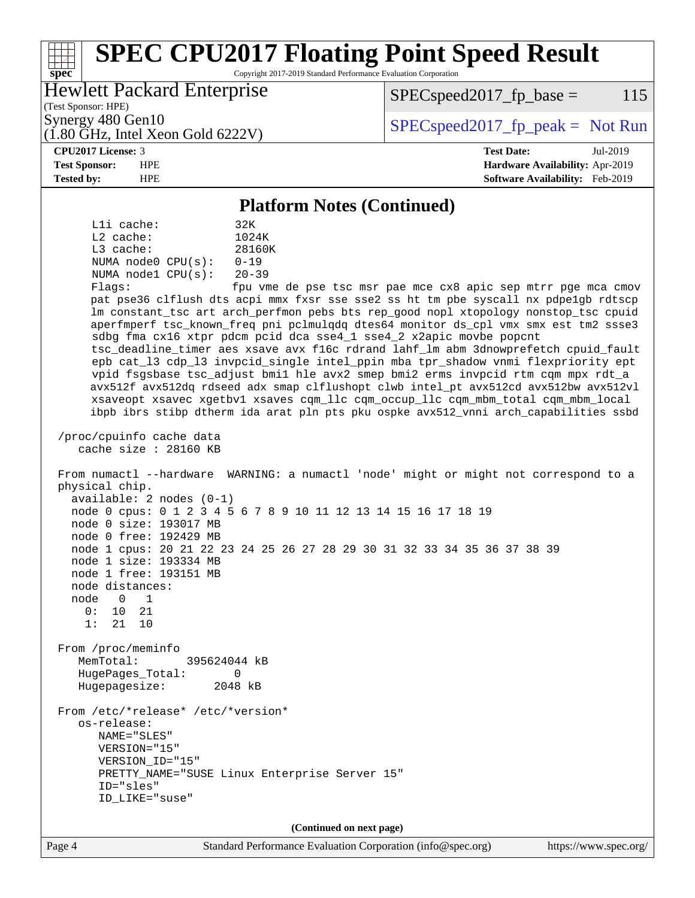### Page 4 Standard Performance Evaluation Corporation [\(info@spec.org\)](mailto:info@spec.org) <https://www.spec.org/> **[spec](http://www.spec.org/) [SPEC CPU2017 Floating Point Speed Result](http://www.spec.org/auto/cpu2017/Docs/result-fields.html#SPECCPU2017FloatingPointSpeedResult)** Copyright 2017-2019 Standard Performance Evaluation Corporation (Test Sponsor: HPE) Hewlett Packard Enterprise (1.80 GHz, Intel Xeon Gold 6222V) Synergy 480 Gen10  $S^{perg}$  [SPECspeed2017\\_fp\\_peak =](http://www.spec.org/auto/cpu2017/Docs/result-fields.html#SPECspeed2017fppeak) Not Run  $SPEC speed2017<sub>fp</sub> base = 115$ **[CPU2017 License:](http://www.spec.org/auto/cpu2017/Docs/result-fields.html#CPU2017License)** 3 **[Test Date:](http://www.spec.org/auto/cpu2017/Docs/result-fields.html#TestDate)** Jul-2019 **[Test Sponsor:](http://www.spec.org/auto/cpu2017/Docs/result-fields.html#TestSponsor)** HPE **[Hardware Availability:](http://www.spec.org/auto/cpu2017/Docs/result-fields.html#HardwareAvailability)** Apr-2019 **[Tested by:](http://www.spec.org/auto/cpu2017/Docs/result-fields.html#Testedby)** HPE **[Software Availability:](http://www.spec.org/auto/cpu2017/Docs/result-fields.html#SoftwareAvailability)** Feb-2019 **[Platform Notes \(Continued\)](http://www.spec.org/auto/cpu2017/Docs/result-fields.html#PlatformNotes)** L1i cache: 32K L2 cache: 1024K L3 cache: 28160K NUMA node0 CPU(s): 0-19 NUMA node1 CPU(s): 20-39 Flags: fpu vme de pse tsc msr pae mce cx8 apic sep mtrr pge mca cmov pat pse36 clflush dts acpi mmx fxsr sse sse2 ss ht tm pbe syscall nx pdpe1gb rdtscp lm constant\_tsc art arch\_perfmon pebs bts rep\_good nopl xtopology nonstop\_tsc cpuid aperfmperf tsc\_known\_freq pni pclmulqdq dtes64 monitor ds\_cpl vmx smx est tm2 ssse3 sdbg fma cx16 xtpr pdcm pcid dca sse4\_1 sse4\_2 x2apic movbe popcnt tsc\_deadline\_timer aes xsave avx f16c rdrand lahf\_lm abm 3dnowprefetch cpuid\_fault epb cat\_l3 cdp\_l3 invpcid\_single intel\_ppin mba tpr\_shadow vnmi flexpriority ept vpid fsgsbase tsc\_adjust bmi1 hle avx2 smep bmi2 erms invpcid rtm cqm mpx rdt\_a avx512f avx512dq rdseed adx smap clflushopt clwb intel\_pt avx512cd avx512bw avx512vl xsaveopt xsavec xgetbv1 xsaves cqm\_llc cqm\_occup\_llc cqm\_mbm\_total cqm\_mbm\_local ibpb ibrs stibp dtherm ida arat pln pts pku ospke avx512\_vnni arch\_capabilities ssbd /proc/cpuinfo cache data cache size : 28160 KB From numactl --hardware WARNING: a numactl 'node' might or might not correspond to a physical chip. available: 2 nodes (0-1) node 0 cpus: 0 1 2 3 4 5 6 7 8 9 10 11 12 13 14 15 16 17 18 19 node 0 size: 193017 MB node 0 free: 192429 MB node 1 cpus: 20 21 22 23 24 25 26 27 28 29 30 31 32 33 34 35 36 37 38 39 node 1 size: 193334 MB node 1 free: 193151 MB node distances: node 0 1 0: 10 21 1: 21 10 From /proc/meminfo MemTotal: 395624044 kB HugePages\_Total: 0 Hugepagesize: 2048 kB From /etc/\*release\* /etc/\*version\* os-release: NAME="SLES" VERSION="15" VERSION\_ID="15" PRETTY\_NAME="SUSE Linux Enterprise Server 15" ID="sles" ID\_LIKE="suse" **(Continued on next page)**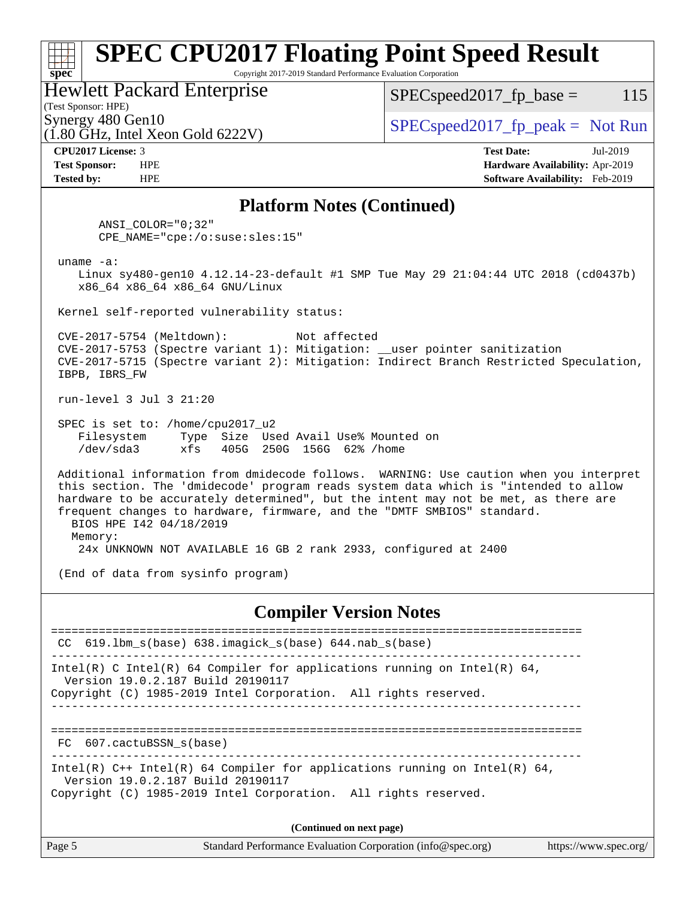### **[spec](http://www.spec.org/) [SPEC CPU2017 Floating Point Speed Result](http://www.spec.org/auto/cpu2017/Docs/result-fields.html#SPECCPU2017FloatingPointSpeedResult)** Copyright 2017-2019 Standard Performance Evaluation Corporation (Test Sponsor: HPE) Hewlett Packard Enterprise (1.80 GHz, Intel Xeon Gold 6222V) Synergy 480 Gen10  $SPEC speed2017$  fp\_peak = Not Run  $SPEC speed2017_fp\_base = 115$ **[CPU2017 License:](http://www.spec.org/auto/cpu2017/Docs/result-fields.html#CPU2017License)** 3 **[Test Date:](http://www.spec.org/auto/cpu2017/Docs/result-fields.html#TestDate)** Jul-2019 **[Test Sponsor:](http://www.spec.org/auto/cpu2017/Docs/result-fields.html#TestSponsor)** HPE **[Hardware Availability:](http://www.spec.org/auto/cpu2017/Docs/result-fields.html#HardwareAvailability)** Apr-2019 **[Tested by:](http://www.spec.org/auto/cpu2017/Docs/result-fields.html#Testedby)** HPE **[Software Availability:](http://www.spec.org/auto/cpu2017/Docs/result-fields.html#SoftwareAvailability)** Feb-2019 **[Platform Notes \(Continued\)](http://www.spec.org/auto/cpu2017/Docs/result-fields.html#PlatformNotes)** ANSI\_COLOR="0;32" CPE\_NAME="cpe:/o:suse:sles:15" uname -a: Linux sy480-gen10 4.12.14-23-default #1 SMP Tue May 29 21:04:44 UTC 2018 (cd0437b) x86\_64 x86\_64 x86\_64 GNU/Linux Kernel self-reported vulnerability status: CVE-2017-5754 (Meltdown): Not affected CVE-2017-5753 (Spectre variant 1): Mitigation: \_\_user pointer sanitization CVE-2017-5715 (Spectre variant 2): Mitigation: Indirect Branch Restricted Speculation, IBPB, IBRS\_FW run-level 3 Jul 3 21:20 SPEC is set to: /home/cpu2017\_u2 Filesystem Type Size Used Avail Use% Mounted on /dev/sda3 xfs 405G 250G 156G 62% /home Additional information from dmidecode follows. WARNING: Use caution when you interpret this section. The 'dmidecode' program reads system data which is "intended to allow hardware to be accurately determined", but the intent may not be met, as there are frequent changes to hardware, firmware, and the "DMTF SMBIOS" standard. BIOS HPE I42 04/18/2019 Memory: 24x UNKNOWN NOT AVAILABLE 16 GB 2 rank 2933, configured at 2400 (End of data from sysinfo program) **[Compiler Version Notes](http://www.spec.org/auto/cpu2017/Docs/result-fields.html#CompilerVersionNotes)** ============================================================================== CC 619.lbm\_s(base) 638.imagick\_s(base) 644.nab\_s(base) ------------------------------------------------------------------------------ Intel(R) C Intel(R) 64 Compiler for applications running on Intel(R)  $64$ , Version 19.0.2.187 Build 20190117 Copyright (C) 1985-2019 Intel Corporation. All rights reserved. ------------------------------------------------------------------------------ ============================================================================== FC 607.cactuBSSN\_s(base) ------------------------------------------------------------------------------ Intel(R) C++ Intel(R) 64 Compiler for applications running on Intel(R) 64, Version 19.0.2.187 Build 20190117 Copyright (C) 1985-2019 Intel Corporation. All rights reserved. **(Continued on next page)**

| Page 5 | Standard Performance Evaluation Corporation (info@spec.org) | https://www.spec.org/ |
|--------|-------------------------------------------------------------|-----------------------|
|        |                                                             |                       |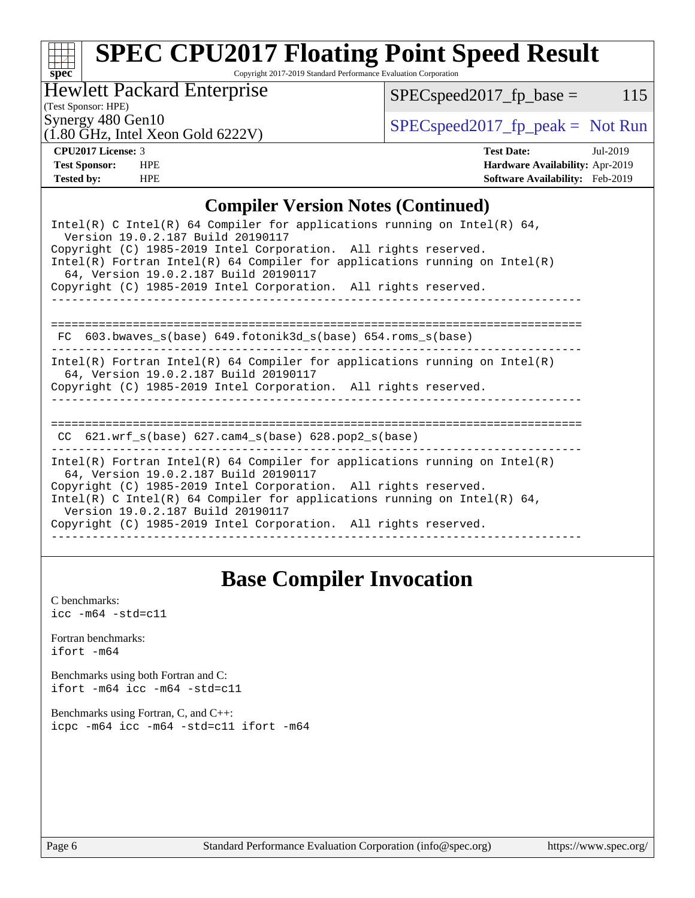# **[spec](http://www.spec.org/)**

# **[SPEC CPU2017 Floating Point Speed Result](http://www.spec.org/auto/cpu2017/Docs/result-fields.html#SPECCPU2017FloatingPointSpeedResult)**

Copyright 2017-2019 Standard Performance Evaluation Corporation

Hewlett Packard Enterprise

 $SPEC speed2017_fp\_base = 115$ 

(Test Sponsor: HPE)

(1.80 GHz, Intel Xeon Gold 6222V)

Synergy 480 Gen10<br>(1.80 GHz, Intel Year Gold 6222V)  $\begin{array}{c} \text{SPEC speed2017\_fp\_peak = Not Run} \end{array}$ 

**[CPU2017 License:](http://www.spec.org/auto/cpu2017/Docs/result-fields.html#CPU2017License)** 3 **[Test Date:](http://www.spec.org/auto/cpu2017/Docs/result-fields.html#TestDate)** Jul-2019 **[Test Sponsor:](http://www.spec.org/auto/cpu2017/Docs/result-fields.html#TestSponsor)** HPE **[Hardware Availability:](http://www.spec.org/auto/cpu2017/Docs/result-fields.html#HardwareAvailability)** Apr-2019 **[Tested by:](http://www.spec.org/auto/cpu2017/Docs/result-fields.html#Testedby)** HPE **[Software Availability:](http://www.spec.org/auto/cpu2017/Docs/result-fields.html#SoftwareAvailability)** Feb-2019

### **[Compiler Version Notes \(Continued\)](http://www.spec.org/auto/cpu2017/Docs/result-fields.html#CompilerVersionNotes)**

# **[Base Compiler Invocation](http://www.spec.org/auto/cpu2017/Docs/result-fields.html#BaseCompilerInvocation)**

[C benchmarks](http://www.spec.org/auto/cpu2017/Docs/result-fields.html#Cbenchmarks):  $\text{icc}$  -m64 -std=c11 [Fortran benchmarks](http://www.spec.org/auto/cpu2017/Docs/result-fields.html#Fortranbenchmarks): [ifort -m64](http://www.spec.org/cpu2017/results/res2019q3/cpu2017-20190709-16115.flags.html#user_FCbase_intel_ifort_64bit_24f2bb282fbaeffd6157abe4f878425411749daecae9a33200eee2bee2fe76f3b89351d69a8130dd5949958ce389cf37ff59a95e7a40d588e8d3a57e0c3fd751) [Benchmarks using both Fortran and C](http://www.spec.org/auto/cpu2017/Docs/result-fields.html#BenchmarksusingbothFortranandC): [ifort -m64](http://www.spec.org/cpu2017/results/res2019q3/cpu2017-20190709-16115.flags.html#user_CC_FCbase_intel_ifort_64bit_24f2bb282fbaeffd6157abe4f878425411749daecae9a33200eee2bee2fe76f3b89351d69a8130dd5949958ce389cf37ff59a95e7a40d588e8d3a57e0c3fd751) [icc -m64 -std=c11](http://www.spec.org/cpu2017/results/res2019q3/cpu2017-20190709-16115.flags.html#user_CC_FCbase_intel_icc_64bit_c11_33ee0cdaae7deeeab2a9725423ba97205ce30f63b9926c2519791662299b76a0318f32ddfffdc46587804de3178b4f9328c46fa7c2b0cd779d7a61945c91cd35) [Benchmarks using Fortran, C, and C++:](http://www.spec.org/auto/cpu2017/Docs/result-fields.html#BenchmarksusingFortranCandCXX) [icpc -m64](http://www.spec.org/cpu2017/results/res2019q3/cpu2017-20190709-16115.flags.html#user_CC_CXX_FCbase_intel_icpc_64bit_4ecb2543ae3f1412ef961e0650ca070fec7b7afdcd6ed48761b84423119d1bf6bdf5cad15b44d48e7256388bc77273b966e5eb805aefd121eb22e9299b2ec9d9) [icc -m64 -std=c11](http://www.spec.org/cpu2017/results/res2019q3/cpu2017-20190709-16115.flags.html#user_CC_CXX_FCbase_intel_icc_64bit_c11_33ee0cdaae7deeeab2a9725423ba97205ce30f63b9926c2519791662299b76a0318f32ddfffdc46587804de3178b4f9328c46fa7c2b0cd779d7a61945c91cd35) [ifort -m64](http://www.spec.org/cpu2017/results/res2019q3/cpu2017-20190709-16115.flags.html#user_CC_CXX_FCbase_intel_ifort_64bit_24f2bb282fbaeffd6157abe4f878425411749daecae9a33200eee2bee2fe76f3b89351d69a8130dd5949958ce389cf37ff59a95e7a40d588e8d3a57e0c3fd751)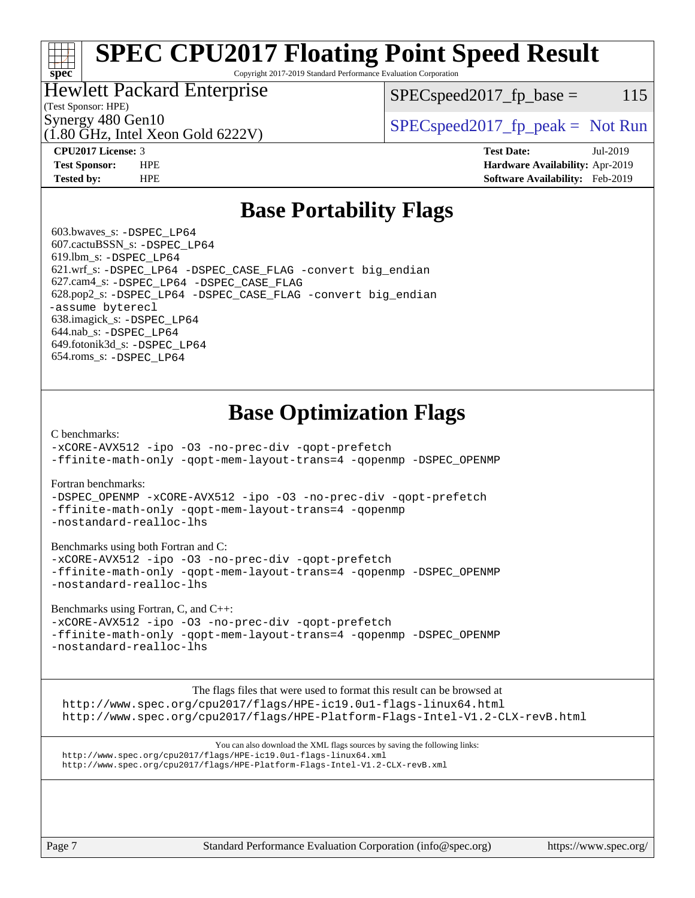# **[SPEC CPU2017 Floating Point Speed Result](http://www.spec.org/auto/cpu2017/Docs/result-fields.html#SPECCPU2017FloatingPointSpeedResult)**

Copyright 2017-2019 Standard Performance Evaluation Corporation

### Hewlett Packard Enterprise

 $SPEC speed2017<sub>fp</sub> base = 115$ 

### (Test Sponsor: HPE)

**[spec](http://www.spec.org/)**

(1.80 GHz, Intel Xeon Gold 6222V)

Synergy 480 Gen10  $S^{per}$  [SPECspeed2017\\_fp\\_peak =](http://www.spec.org/auto/cpu2017/Docs/result-fields.html#SPECspeed2017fppeak) Not Run

**[CPU2017 License:](http://www.spec.org/auto/cpu2017/Docs/result-fields.html#CPU2017License)** 3 **[Test Date:](http://www.spec.org/auto/cpu2017/Docs/result-fields.html#TestDate)** Jul-2019 **[Test Sponsor:](http://www.spec.org/auto/cpu2017/Docs/result-fields.html#TestSponsor)** HPE **[Hardware Availability:](http://www.spec.org/auto/cpu2017/Docs/result-fields.html#HardwareAvailability)** Apr-2019 **[Tested by:](http://www.spec.org/auto/cpu2017/Docs/result-fields.html#Testedby)** HPE **[Software Availability:](http://www.spec.org/auto/cpu2017/Docs/result-fields.html#SoftwareAvailability)** Feb-2019

## **[Base Portability Flags](http://www.spec.org/auto/cpu2017/Docs/result-fields.html#BasePortabilityFlags)**

 603.bwaves\_s: [-DSPEC\\_LP64](http://www.spec.org/cpu2017/results/res2019q3/cpu2017-20190709-16115.flags.html#suite_basePORTABILITY603_bwaves_s_DSPEC_LP64) 607.cactuBSSN\_s: [-DSPEC\\_LP64](http://www.spec.org/cpu2017/results/res2019q3/cpu2017-20190709-16115.flags.html#suite_basePORTABILITY607_cactuBSSN_s_DSPEC_LP64) 619.lbm\_s: [-DSPEC\\_LP64](http://www.spec.org/cpu2017/results/res2019q3/cpu2017-20190709-16115.flags.html#suite_basePORTABILITY619_lbm_s_DSPEC_LP64) 621.wrf\_s: [-DSPEC\\_LP64](http://www.spec.org/cpu2017/results/res2019q3/cpu2017-20190709-16115.flags.html#suite_basePORTABILITY621_wrf_s_DSPEC_LP64) [-DSPEC\\_CASE\\_FLAG](http://www.spec.org/cpu2017/results/res2019q3/cpu2017-20190709-16115.flags.html#b621.wrf_s_baseCPORTABILITY_DSPEC_CASE_FLAG) [-convert big\\_endian](http://www.spec.org/cpu2017/results/res2019q3/cpu2017-20190709-16115.flags.html#user_baseFPORTABILITY621_wrf_s_convert_big_endian_c3194028bc08c63ac5d04de18c48ce6d347e4e562e8892b8bdbdc0214820426deb8554edfa529a3fb25a586e65a3d812c835984020483e7e73212c4d31a38223) 627.cam4\_s: [-DSPEC\\_LP64](http://www.spec.org/cpu2017/results/res2019q3/cpu2017-20190709-16115.flags.html#suite_basePORTABILITY627_cam4_s_DSPEC_LP64) [-DSPEC\\_CASE\\_FLAG](http://www.spec.org/cpu2017/results/res2019q3/cpu2017-20190709-16115.flags.html#b627.cam4_s_baseCPORTABILITY_DSPEC_CASE_FLAG) 628.pop2\_s: [-DSPEC\\_LP64](http://www.spec.org/cpu2017/results/res2019q3/cpu2017-20190709-16115.flags.html#suite_basePORTABILITY628_pop2_s_DSPEC_LP64) [-DSPEC\\_CASE\\_FLAG](http://www.spec.org/cpu2017/results/res2019q3/cpu2017-20190709-16115.flags.html#b628.pop2_s_baseCPORTABILITY_DSPEC_CASE_FLAG) [-convert big\\_endian](http://www.spec.org/cpu2017/results/res2019q3/cpu2017-20190709-16115.flags.html#user_baseFPORTABILITY628_pop2_s_convert_big_endian_c3194028bc08c63ac5d04de18c48ce6d347e4e562e8892b8bdbdc0214820426deb8554edfa529a3fb25a586e65a3d812c835984020483e7e73212c4d31a38223) [-assume byterecl](http://www.spec.org/cpu2017/results/res2019q3/cpu2017-20190709-16115.flags.html#user_baseFPORTABILITY628_pop2_s_assume_byterecl_7e47d18b9513cf18525430bbf0f2177aa9bf368bc7a059c09b2c06a34b53bd3447c950d3f8d6c70e3faf3a05c8557d66a5798b567902e8849adc142926523472) 638.imagick\_s: [-DSPEC\\_LP64](http://www.spec.org/cpu2017/results/res2019q3/cpu2017-20190709-16115.flags.html#suite_basePORTABILITY638_imagick_s_DSPEC_LP64) 644.nab\_s: [-DSPEC\\_LP64](http://www.spec.org/cpu2017/results/res2019q3/cpu2017-20190709-16115.flags.html#suite_basePORTABILITY644_nab_s_DSPEC_LP64) 649.fotonik3d\_s: [-DSPEC\\_LP64](http://www.spec.org/cpu2017/results/res2019q3/cpu2017-20190709-16115.flags.html#suite_basePORTABILITY649_fotonik3d_s_DSPEC_LP64) 654.roms\_s: [-DSPEC\\_LP64](http://www.spec.org/cpu2017/results/res2019q3/cpu2017-20190709-16115.flags.html#suite_basePORTABILITY654_roms_s_DSPEC_LP64)

# **[Base Optimization Flags](http://www.spec.org/auto/cpu2017/Docs/result-fields.html#BaseOptimizationFlags)**

#### [C benchmarks](http://www.spec.org/auto/cpu2017/Docs/result-fields.html#Cbenchmarks):

[-xCORE-AVX512](http://www.spec.org/cpu2017/results/res2019q3/cpu2017-20190709-16115.flags.html#user_CCbase_f-xCORE-AVX512) [-ipo](http://www.spec.org/cpu2017/results/res2019q3/cpu2017-20190709-16115.flags.html#user_CCbase_f-ipo) [-O3](http://www.spec.org/cpu2017/results/res2019q3/cpu2017-20190709-16115.flags.html#user_CCbase_f-O3) [-no-prec-div](http://www.spec.org/cpu2017/results/res2019q3/cpu2017-20190709-16115.flags.html#user_CCbase_f-no-prec-div) [-qopt-prefetch](http://www.spec.org/cpu2017/results/res2019q3/cpu2017-20190709-16115.flags.html#user_CCbase_f-qopt-prefetch) [-ffinite-math-only](http://www.spec.org/cpu2017/results/res2019q3/cpu2017-20190709-16115.flags.html#user_CCbase_f_finite_math_only_cb91587bd2077682c4b38af759c288ed7c732db004271a9512da14a4f8007909a5f1427ecbf1a0fb78ff2a814402c6114ac565ca162485bbcae155b5e4258871) [-qopt-mem-layout-trans=4](http://www.spec.org/cpu2017/results/res2019q3/cpu2017-20190709-16115.flags.html#user_CCbase_f-qopt-mem-layout-trans_fa39e755916c150a61361b7846f310bcdf6f04e385ef281cadf3647acec3f0ae266d1a1d22d972a7087a248fd4e6ca390a3634700869573d231a252c784941a8) [-qopenmp](http://www.spec.org/cpu2017/results/res2019q3/cpu2017-20190709-16115.flags.html#user_CCbase_qopenmp_16be0c44f24f464004c6784a7acb94aca937f053568ce72f94b139a11c7c168634a55f6653758ddd83bcf7b8463e8028bb0b48b77bcddc6b78d5d95bb1df2967) [-DSPEC\\_OPENMP](http://www.spec.org/cpu2017/results/res2019q3/cpu2017-20190709-16115.flags.html#suite_CCbase_DSPEC_OPENMP)

#### [Fortran benchmarks](http://www.spec.org/auto/cpu2017/Docs/result-fields.html#Fortranbenchmarks):

[-DSPEC\\_OPENMP](http://www.spec.org/cpu2017/results/res2019q3/cpu2017-20190709-16115.flags.html#suite_FCbase_DSPEC_OPENMP) [-xCORE-AVX512](http://www.spec.org/cpu2017/results/res2019q3/cpu2017-20190709-16115.flags.html#user_FCbase_f-xCORE-AVX512) [-ipo](http://www.spec.org/cpu2017/results/res2019q3/cpu2017-20190709-16115.flags.html#user_FCbase_f-ipo) [-O3](http://www.spec.org/cpu2017/results/res2019q3/cpu2017-20190709-16115.flags.html#user_FCbase_f-O3) [-no-prec-div](http://www.spec.org/cpu2017/results/res2019q3/cpu2017-20190709-16115.flags.html#user_FCbase_f-no-prec-div) [-qopt-prefetch](http://www.spec.org/cpu2017/results/res2019q3/cpu2017-20190709-16115.flags.html#user_FCbase_f-qopt-prefetch) [-ffinite-math-only](http://www.spec.org/cpu2017/results/res2019q3/cpu2017-20190709-16115.flags.html#user_FCbase_f_finite_math_only_cb91587bd2077682c4b38af759c288ed7c732db004271a9512da14a4f8007909a5f1427ecbf1a0fb78ff2a814402c6114ac565ca162485bbcae155b5e4258871) [-qopt-mem-layout-trans=4](http://www.spec.org/cpu2017/results/res2019q3/cpu2017-20190709-16115.flags.html#user_FCbase_f-qopt-mem-layout-trans_fa39e755916c150a61361b7846f310bcdf6f04e385ef281cadf3647acec3f0ae266d1a1d22d972a7087a248fd4e6ca390a3634700869573d231a252c784941a8) [-qopenmp](http://www.spec.org/cpu2017/results/res2019q3/cpu2017-20190709-16115.flags.html#user_FCbase_qopenmp_16be0c44f24f464004c6784a7acb94aca937f053568ce72f94b139a11c7c168634a55f6653758ddd83bcf7b8463e8028bb0b48b77bcddc6b78d5d95bb1df2967) [-nostandard-realloc-lhs](http://www.spec.org/cpu2017/results/res2019q3/cpu2017-20190709-16115.flags.html#user_FCbase_f_2003_std_realloc_82b4557e90729c0f113870c07e44d33d6f5a304b4f63d4c15d2d0f1fab99f5daaed73bdb9275d9ae411527f28b936061aa8b9c8f2d63842963b95c9dd6426b8a)

#### [Benchmarks using both Fortran and C](http://www.spec.org/auto/cpu2017/Docs/result-fields.html#BenchmarksusingbothFortranandC):

[-xCORE-AVX512](http://www.spec.org/cpu2017/results/res2019q3/cpu2017-20190709-16115.flags.html#user_CC_FCbase_f-xCORE-AVX512) [-ipo](http://www.spec.org/cpu2017/results/res2019q3/cpu2017-20190709-16115.flags.html#user_CC_FCbase_f-ipo) [-O3](http://www.spec.org/cpu2017/results/res2019q3/cpu2017-20190709-16115.flags.html#user_CC_FCbase_f-O3) [-no-prec-div](http://www.spec.org/cpu2017/results/res2019q3/cpu2017-20190709-16115.flags.html#user_CC_FCbase_f-no-prec-div) [-qopt-prefetch](http://www.spec.org/cpu2017/results/res2019q3/cpu2017-20190709-16115.flags.html#user_CC_FCbase_f-qopt-prefetch) [-ffinite-math-only](http://www.spec.org/cpu2017/results/res2019q3/cpu2017-20190709-16115.flags.html#user_CC_FCbase_f_finite_math_only_cb91587bd2077682c4b38af759c288ed7c732db004271a9512da14a4f8007909a5f1427ecbf1a0fb78ff2a814402c6114ac565ca162485bbcae155b5e4258871) [-qopt-mem-layout-trans=4](http://www.spec.org/cpu2017/results/res2019q3/cpu2017-20190709-16115.flags.html#user_CC_FCbase_f-qopt-mem-layout-trans_fa39e755916c150a61361b7846f310bcdf6f04e385ef281cadf3647acec3f0ae266d1a1d22d972a7087a248fd4e6ca390a3634700869573d231a252c784941a8) [-qopenmp](http://www.spec.org/cpu2017/results/res2019q3/cpu2017-20190709-16115.flags.html#user_CC_FCbase_qopenmp_16be0c44f24f464004c6784a7acb94aca937f053568ce72f94b139a11c7c168634a55f6653758ddd83bcf7b8463e8028bb0b48b77bcddc6b78d5d95bb1df2967) [-DSPEC\\_OPENMP](http://www.spec.org/cpu2017/results/res2019q3/cpu2017-20190709-16115.flags.html#suite_CC_FCbase_DSPEC_OPENMP) [-nostandard-realloc-lhs](http://www.spec.org/cpu2017/results/res2019q3/cpu2017-20190709-16115.flags.html#user_CC_FCbase_f_2003_std_realloc_82b4557e90729c0f113870c07e44d33d6f5a304b4f63d4c15d2d0f1fab99f5daaed73bdb9275d9ae411527f28b936061aa8b9c8f2d63842963b95c9dd6426b8a)

### [Benchmarks using Fortran, C, and C++:](http://www.spec.org/auto/cpu2017/Docs/result-fields.html#BenchmarksusingFortranCandCXX)

[-xCORE-AVX512](http://www.spec.org/cpu2017/results/res2019q3/cpu2017-20190709-16115.flags.html#user_CC_CXX_FCbase_f-xCORE-AVX512) [-ipo](http://www.spec.org/cpu2017/results/res2019q3/cpu2017-20190709-16115.flags.html#user_CC_CXX_FCbase_f-ipo) [-O3](http://www.spec.org/cpu2017/results/res2019q3/cpu2017-20190709-16115.flags.html#user_CC_CXX_FCbase_f-O3) [-no-prec-div](http://www.spec.org/cpu2017/results/res2019q3/cpu2017-20190709-16115.flags.html#user_CC_CXX_FCbase_f-no-prec-div) [-qopt-prefetch](http://www.spec.org/cpu2017/results/res2019q3/cpu2017-20190709-16115.flags.html#user_CC_CXX_FCbase_f-qopt-prefetch) [-ffinite-math-only](http://www.spec.org/cpu2017/results/res2019q3/cpu2017-20190709-16115.flags.html#user_CC_CXX_FCbase_f_finite_math_only_cb91587bd2077682c4b38af759c288ed7c732db004271a9512da14a4f8007909a5f1427ecbf1a0fb78ff2a814402c6114ac565ca162485bbcae155b5e4258871) [-qopt-mem-layout-trans=4](http://www.spec.org/cpu2017/results/res2019q3/cpu2017-20190709-16115.flags.html#user_CC_CXX_FCbase_f-qopt-mem-layout-trans_fa39e755916c150a61361b7846f310bcdf6f04e385ef281cadf3647acec3f0ae266d1a1d22d972a7087a248fd4e6ca390a3634700869573d231a252c784941a8) [-qopenmp](http://www.spec.org/cpu2017/results/res2019q3/cpu2017-20190709-16115.flags.html#user_CC_CXX_FCbase_qopenmp_16be0c44f24f464004c6784a7acb94aca937f053568ce72f94b139a11c7c168634a55f6653758ddd83bcf7b8463e8028bb0b48b77bcddc6b78d5d95bb1df2967) [-DSPEC\\_OPENMP](http://www.spec.org/cpu2017/results/res2019q3/cpu2017-20190709-16115.flags.html#suite_CC_CXX_FCbase_DSPEC_OPENMP) [-nostandard-realloc-lhs](http://www.spec.org/cpu2017/results/res2019q3/cpu2017-20190709-16115.flags.html#user_CC_CXX_FCbase_f_2003_std_realloc_82b4557e90729c0f113870c07e44d33d6f5a304b4f63d4c15d2d0f1fab99f5daaed73bdb9275d9ae411527f28b936061aa8b9c8f2d63842963b95c9dd6426b8a)

The flags files that were used to format this result can be browsed at

<http://www.spec.org/cpu2017/flags/HPE-ic19.0u1-flags-linux64.html> <http://www.spec.org/cpu2017/flags/HPE-Platform-Flags-Intel-V1.2-CLX-revB.html>

You can also download the XML flags sources by saving the following links: <http://www.spec.org/cpu2017/flags/HPE-ic19.0u1-flags-linux64.xml> <http://www.spec.org/cpu2017/flags/HPE-Platform-Flags-Intel-V1.2-CLX-revB.xml>